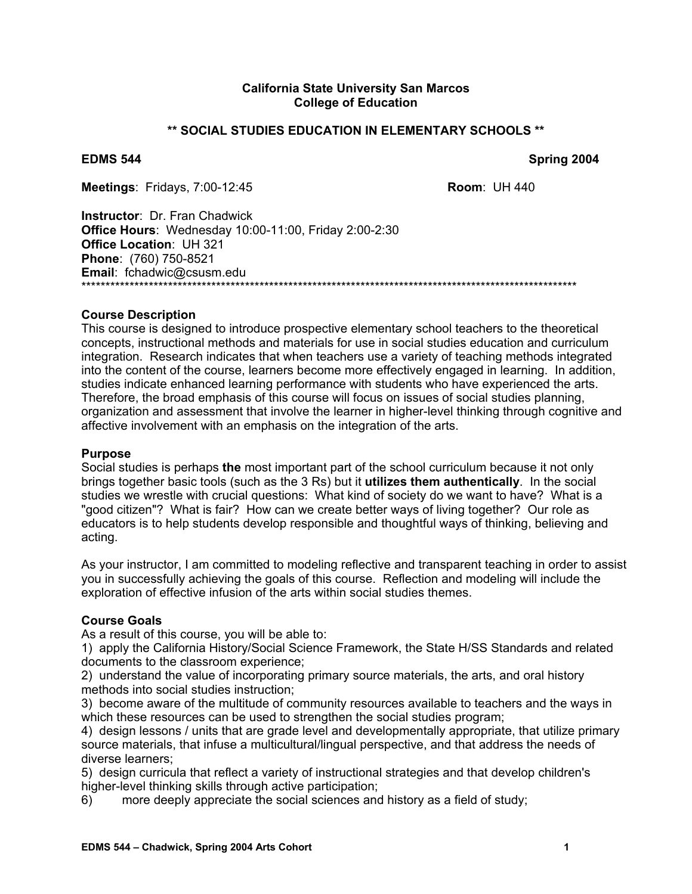#### **California State University San Marcos College of Education**

#### **\*\* SOCIAL STUDIES EDUCATION IN ELEMENTARY SCHOOLS \*\***

**EDMS 544** Spring 2004

**Meetings**: Fridays, 7:00-12:45 **Room**: UH 440

**Instructor**: Dr. Fran Chadwick **Office Hours**: Wednesday 10:00-11:00, Friday 2:00-2:30 **Office Location**: UH 321 **Phone**: (760) 750-8521 **Email**: fchadwic@csusm.edu \*\*\*\*\*\*\*\*\*\*\*\*\*\*\*\*\*\*\*\*\*\*\*\*\*\*\*\*\*\*\*\*\*\*\*\*\*\*\*\*\*\*\*\*\*\*\*\*\*\*\*\*\*\*\*\*\*\*\*\*\*\*\*\*\*\*\*\*\*\*\*\*\*\*\*\*\*\*\*\*\*\*\*\*\*\*\*\*\*\*\*\*\*\*\*\*\*\*\*\*\*\*\*

#### **Course Description**

This course is designed to introduce prospective elementary school teachers to the theoretical concepts, instructional methods and materials for use in social studies education and curriculum integration. Research indicates that when teachers use a variety of teaching methods integrated into the content of the course, learners become more effectively engaged in learning. In addition, studies indicate enhanced learning performance with students who have experienced the arts. Therefore, the broad emphasis of this course will focus on issues of social studies planning, organization and assessment that involve the learner in higher-level thinking through cognitive and affective involvement with an emphasis on the integration of the arts.

#### **Purpose**

Social studies is perhaps **the** most important part of the school curriculum because it not only brings together basic tools (such as the 3 Rs) but it **utilizes them authentically**. In the social studies we wrestle with crucial questions: What kind of society do we want to have? What is a "good citizen"? What is fair? How can we create better ways of living together? Our role as educators is to help students develop responsible and thoughtful ways of thinking, believing and acting.

As your instructor, I am committed to modeling reflective and transparent teaching in order to assist you in successfully achieving the goals of this course. Reflection and modeling will include the exploration of effective infusion of the arts within social studies themes.

#### **Course Goals**

As a result of this course, you will be able to:

1) apply the California History/Social Science Framework, the State H/SS Standards and related documents to the classroom experience;

2) understand the value of incorporating primary source materials, the arts, and oral history methods into social studies instruction;

3) become aware of the multitude of community resources available to teachers and the ways in which these resources can be used to strengthen the social studies program;

4) design lessons / units that are grade level and developmentally appropriate, that utilize primary source materials, that infuse a multicultural/lingual perspective, and that address the needs of diverse learners;

5) design curricula that reflect a variety of instructional strategies and that develop children's higher-level thinking skills through active participation;

6) more deeply appreciate the social sciences and history as a field of study;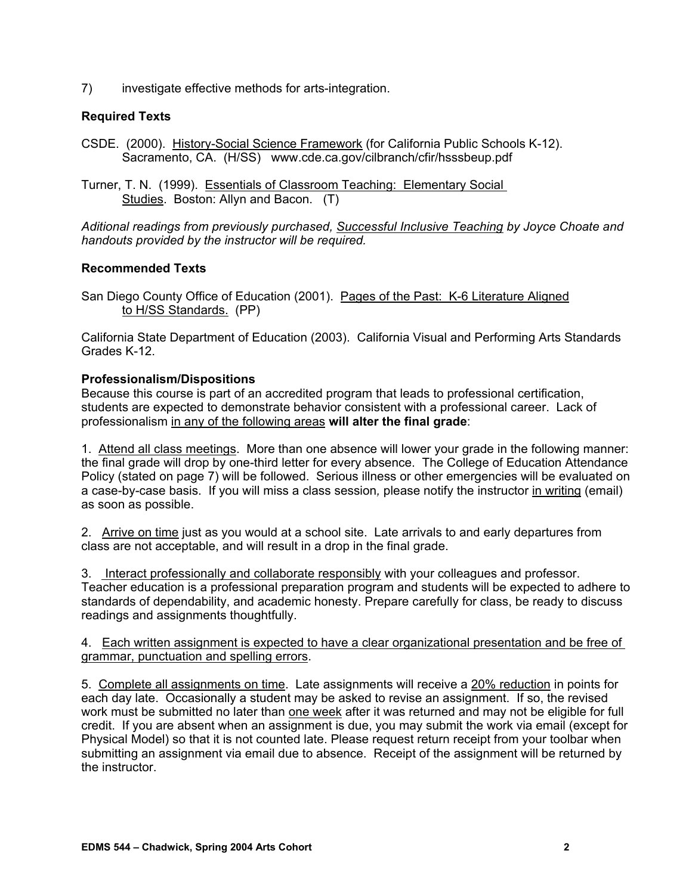7) investigate effective methods for arts-integration.

## **Required Texts**

- CSDE. (2000). History-Social Science Framework (for California Public Schools K-12). Sacramento, CA. (H/SS) www.cde.ca.gov/cilbranch/cfir/hsssbeup.pdf
- Turner, T. N. (1999). Essentials of Classroom Teaching: Elementary Social Studies. Boston: Allyn and Bacon. (T)

*Aditional readings from previously purchased, Successful Inclusive Teaching by Joyce Choate and handouts provided by the instructor will be required.* 

## **Recommended Texts**

San Diego County Office of Education (2001). Pages of the Past: K-6 Literature Aligned to H/SS Standards. (PP)

California State Department of Education (2003). California Visual and Performing Arts Standards Grades K-12.

## **Professionalism/Dispositions**

Because this course is part of an accredited program that leads to professional certification, students are expected to demonstrate behavior consistent with a professional career. Lack of professionalism in any of the following areas **will alter the final grade**:

1. Attend all class meetings. More than one absence will lower your grade in the following manner: the final grade will drop by one-third letter for every absence. The College of Education Attendance Policy (stated on page 7) will be followed. Serious illness or other emergencies will be evaluated on a case-by-case basis. If you will miss a class session*,* please notify the instructor in writing (email) as soon as possible.

2. Arrive on time just as you would at a school site. Late arrivals to and early departures from class are not acceptable, and will result in a drop in the final grade.

3. Interact professionally and collaborate responsibly with your colleagues and professor. Teacher education is a professional preparation program and students will be expected to adhere to standards of dependability, and academic honesty. Prepare carefully for class, be ready to discuss readings and assignments thoughtfully.

#### 4. Each written assignment is expected to have a clear organizational presentation and be free of grammar, punctuation and spelling errors.

5. Complete all assignments on time. Late assignments will receive a 20% reduction in points for each day late. Occasionally a student may be asked to revise an assignment. If so, the revised work must be submitted no later than one week after it was returned and may not be eligible for full credit. If you are absent when an assignment is due, you may submit the work via email (except for Physical Model) so that it is not counted late. Please request return receipt from your toolbar when submitting an assignment via email due to absence. Receipt of the assignment will be returned by the instructor.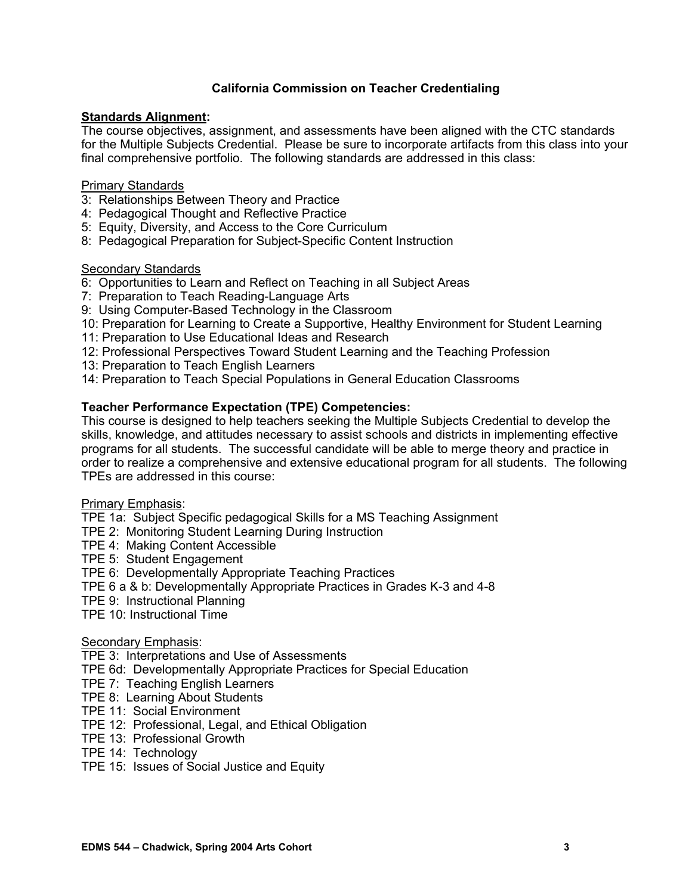## **California Commission on Teacher Credentialing**

## **Standards Alignment:**

The course objectives, assignment, and assessments have been aligned with the CTC standards for the Multiple Subjects Credential. Please be sure to incorporate artifacts from this class into your final comprehensive portfolio. The following standards are addressed in this class:

## Primary Standards

- 3: Relationships Between Theory and Practice
- 4: Pedagogical Thought and Reflective Practice
- 5: Equity, Diversity, and Access to the Core Curriculum
- 8: Pedagogical Preparation for Subject-Specific Content Instruction

#### Secondary Standards

- 6: Opportunities to Learn and Reflect on Teaching in all Subject Areas
- 7: Preparation to Teach Reading-Language Arts
- 9: Using Computer-Based Technology in the Classroom
- 10: Preparation for Learning to Create a Supportive, Healthy Environment for Student Learning
- 11: Preparation to Use Educational Ideas and Research
- 12: Professional Perspectives Toward Student Learning and the Teaching Profession
- 13: Preparation to Teach English Learners
- 14: Preparation to Teach Special Populations in General Education Classrooms

## **Teacher Performance Expectation (TPE) Competencies:**

This course is designed to help teachers seeking the Multiple Subjects Credential to develop the skills, knowledge, and attitudes necessary to assist schools and districts in implementing effective programs for all students. The successful candidate will be able to merge theory and practice in order to realize a comprehensive and extensive educational program for all students. The following TPEs are addressed in this course:

#### Primary Emphasis:

TPE 1a: Subject Specific pedagogical Skills for a MS Teaching Assignment

- TPE 2: Monitoring Student Learning During Instruction
- TPE 4: Making Content Accessible
- TPE 5: Student Engagement
- TPE 6: Developmentally Appropriate Teaching Practices
- TPE 6 a & b: Developmentally Appropriate Practices in Grades K-3 and 4-8
- TPE 9: Instructional Planning
- TPE 10: Instructional Time

## Secondary Emphasis:

TPE 3: Interpretations and Use of Assessments

- TPE 6d: Developmentally Appropriate Practices for Special Education
- TPE 7: Teaching English Learners
- TPE 8: Learning About Students
- TPE 11: Social Environment
- TPE 12: Professional, Legal, and Ethical Obligation
- TPE 13: Professional Growth
- TPE 14: Technology
- TPE 15: Issues of Social Justice and Equity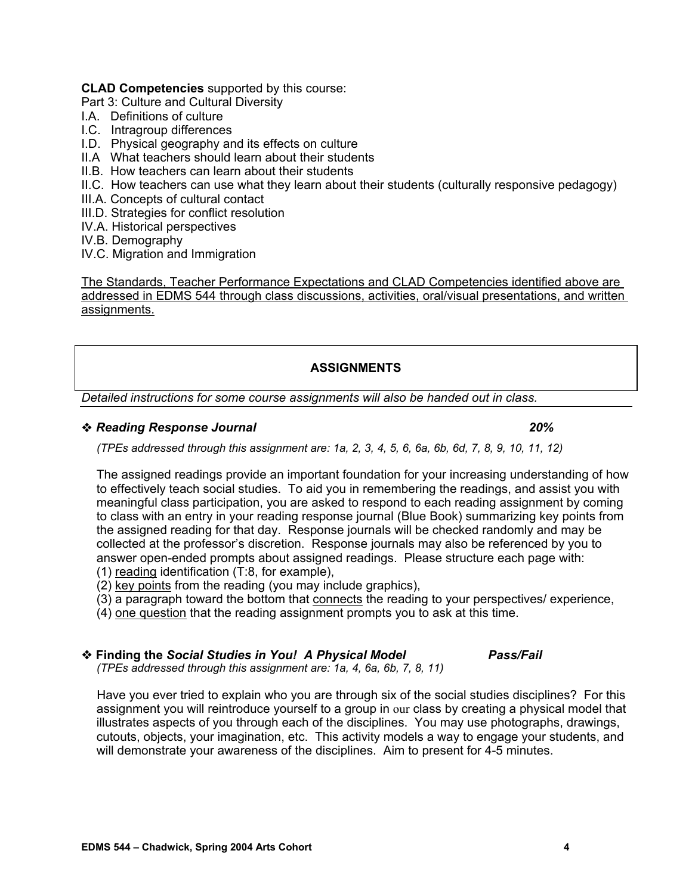#### **CLAD Competencies** supported by this course:

Part 3: Culture and Cultural Diversity

- I.A. Definitions of culture
- I.C. Intragroup differences
- I.D. Physical geography and its effects on culture
- II.A What teachers should learn about their students
- II.B. How teachers can learn about their students
- II.C. How teachers can use what they learn about their students (culturally responsive pedagogy)
- III.A. Concepts of cultural contact
- III.D. Strategies for conflict resolution
- IV.A. Historical perspectives
- IV.B. Demography
- IV.C. Migration and Immigration

The Standards, Teacher Performance Expectations and CLAD Competencies identified above are addressed in EDMS 544 through class discussions, activities, oral/visual presentations, and written assignments.

## **ASSIGNMENTS**

*Detailed instructions for some course assignments will also be handed out in class.* 

#### *Reading Response Journal 20%*

*(TPEs addressed through this assignment are: 1a, 2, 3, 4, 5, 6, 6a, 6b, 6d, 7, 8, 9, 10, 11, 12)* 

The assigned readings provide an important foundation for your increasing understanding of how to effectively teach social studies. To aid you in remembering the readings, and assist you with meaningful class participation, you are asked to respond to each reading assignment by coming to class with an entry in your reading response journal (Blue Book) summarizing key points from the assigned reading for that day. Response journals will be checked randomly and may be collected at the professor's discretion. Response journals may also be referenced by you to answer open-ended prompts about assigned readings. Please structure each page with:

- (1) reading identification (T:8, for example),
- (2) key points from the reading (you may include graphics),
- (3) a paragraph toward the bottom that connects the reading to your perspectives/ experience,
- (4) one question that the reading assignment prompts you to ask at this time.

 **Finding the** *Social Studies in You! A Physical Model Pass/Fail (TPEs addressed through this assignment are: 1a, 4, 6a, 6b, 7, 8, 11)* 

 Have you ever tried to explain who you are through six of the social studies disciplines? For this assignment you will reintroduce yourself to a group in our class by creating a physical model that illustrates aspects of you through each of the disciplines. You may use photographs, drawings, cutouts, objects, your imagination, etc. This activity models a way to engage your students, and will demonstrate your awareness of the disciplines. Aim to present for 4-5 minutes.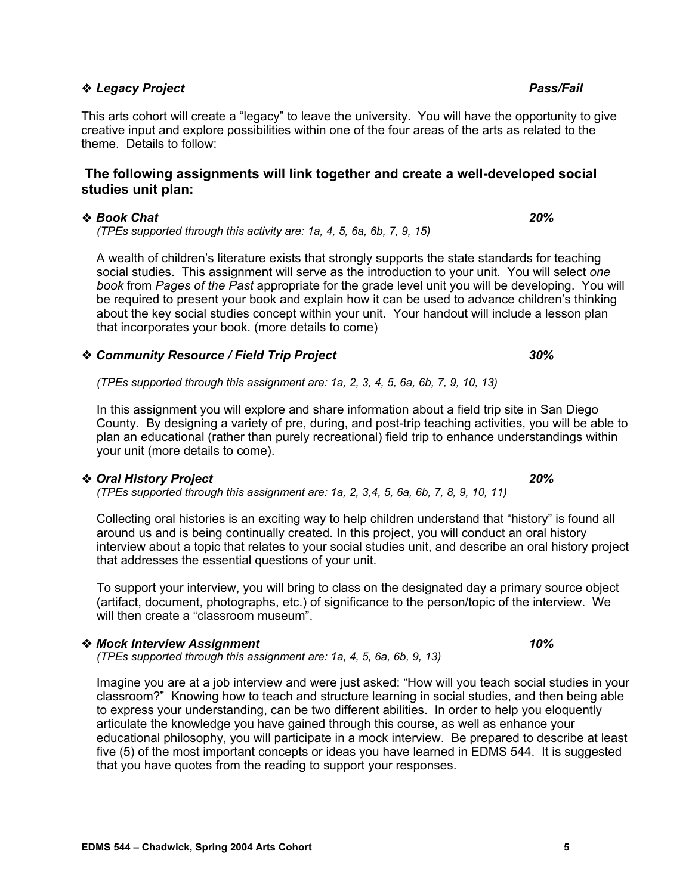# ◆ Legacy Project **Pass/Fail Account Account Account Account Account Account Account Account Account Account Account Account Account Account Account Account Account Account Account Account Account Account Account Account A**

This arts cohort will create a "legacy" to leave the university. You will have the opportunity to give creative input and explore possibilities within one of the four areas of the arts as related to the theme. Details to follow:

## **The following assignments will link together and create a well-developed social studies unit plan:**

## *Book Chat 20%*

*(TPEs supported through this activity are: 1a, 4, 5, 6a, 6b, 7, 9, 15)* 

A wealth of children's literature exists that strongly supports the state standards for teaching social studies. This assignment will serve as the introduction to your unit. You will select *one book* from *Pages of the Past* appropriate for the grade level unit you will be developing. You will be required to present your book and explain how it can be used to advance children's thinking about the key social studies concept within your unit. Your handout will include a lesson plan that incorporates your book. (more details to come)

## *Community Resource / Field Trip Project 30%*

*(TPEs supported through this assignment are: 1a, 2, 3, 4, 5, 6a, 6b, 7, 9, 10, 13)* 

In this assignment you will explore and share information about a field trip site in San Diego County. By designing a variety of pre, during, and post-trip teaching activities, you will be able to plan an educational (rather than purely recreational) field trip to enhance understandings within your unit (more details to come).

## *Oral History Project 20%*

*(TPEs supported through this assignment are: 1a, 2, 3,4, 5, 6a, 6b, 7, 8, 9, 10, 11)* 

Collecting oral histories is an exciting way to help children understand that "history" is found all around us and is being continually created. In this project, you will conduct an oral history interview about a topic that relates to your social studies unit, and describe an oral history project that addresses the essential questions of your unit.

To support your interview, you will bring to class on the designated day a primary source object (artifact, document, photographs, etc.) of significance to the person/topic of the interview. We will then create a "classroom museum".

## *Mock Interview Assignment 10%*

*(TPEs supported through this assignment are: 1a, 4, 5, 6a, 6b, 9, 13)* 

Imagine you are at a job interview and were just asked: "How will you teach social studies in your classroom?" Knowing how to teach and structure learning in social studies, and then being able to express your understanding, can be two different abilities. In order to help you eloquently articulate the knowledge you have gained through this course, as well as enhance your educational philosophy, you will participate in a mock interview. Be prepared to describe at least five (5) of the most important concepts or ideas you have learned in EDMS 544. It is suggested that you have quotes from the reading to support your responses.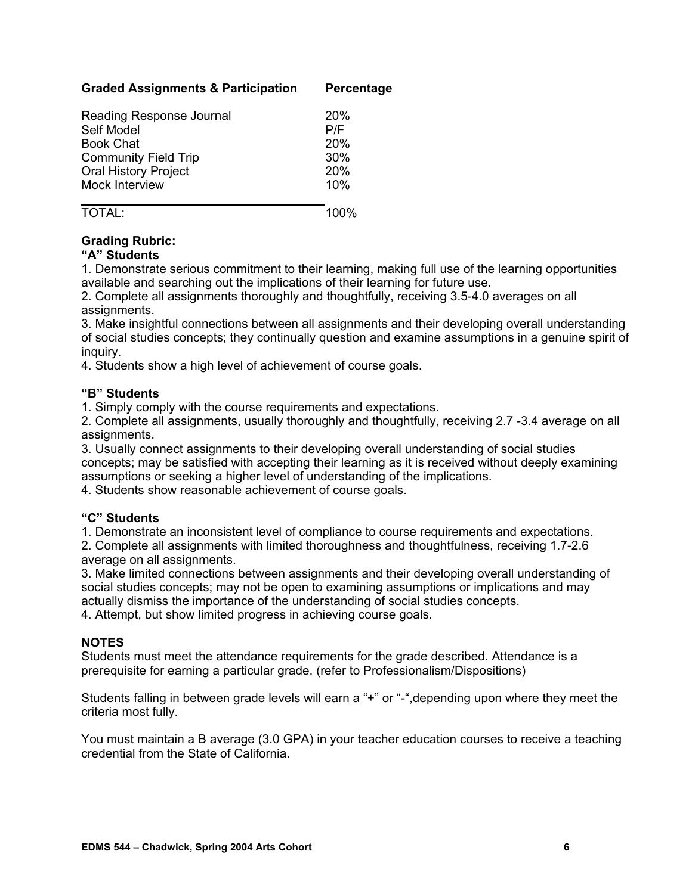## **Graded Assignments & Participation Percentage**

| Reading Response Journal    | 20%        |
|-----------------------------|------------|
| Self Model                  | P/F        |
| <b>Book Chat</b>            | <b>20%</b> |
| <b>Community Field Trip</b> | 30%        |
| <b>Oral History Project</b> | <b>20%</b> |
| Mock Interview              | 10%        |
|                             |            |

## TOTAL: 100%

## **Grading Rubric:**

## **"A" Students**

1. Demonstrate serious commitment to their learning, making full use of the learning opportunities available and searching out the implications of their learning for future use.

2. Complete all assignments thoroughly and thoughtfully, receiving 3.5-4.0 averages on all assignments.

3. Make insightful connections between all assignments and their developing overall understanding of social studies concepts; they continually question and examine assumptions in a genuine spirit of inquiry.

4. Students show a high level of achievement of course goals.

## **"B" Students**

1. Simply comply with the course requirements and expectations.

2. Complete all assignments, usually thoroughly and thoughtfully, receiving 2.7 -3.4 average on all assignments.

3. Usually connect assignments to their developing overall understanding of social studies concepts; may be satisfied with accepting their learning as it is received without deeply examining assumptions or seeking a higher level of understanding of the implications.

4. Students show reasonable achievement of course goals.

## **"C" Students**

1. Demonstrate an inconsistent level of compliance to course requirements and expectations.

2. Complete all assignments with limited thoroughness and thoughtfulness, receiving 1.7-2.6 average on all assignments.

3. Make limited connections between assignments and their developing overall understanding of social studies concepts; may not be open to examining assumptions or implications and may actually dismiss the importance of the understanding of social studies concepts. 4. Attempt, but show limited progress in achieving course goals.

## **NOTES**

Students must meet the attendance requirements for the grade described. Attendance is a prerequisite for earning a particular grade. (refer to Professionalism/Dispositions)

Students falling in between grade levels will earn a "+" or "-",depending upon where they meet the criteria most fully.

You must maintain a B average (3.0 GPA) in your teacher education courses to receive a teaching credential from the State of California.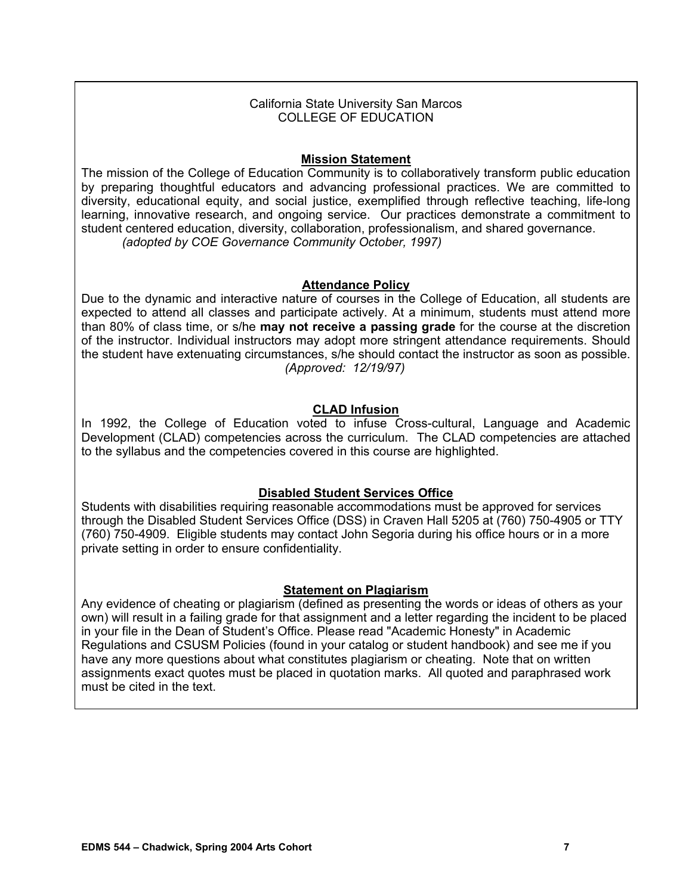## California State University San Marcos COLLEGE OF EDUCATION

## **Mission Statement**

The mission of the College of Education Community is to collaboratively transform public education by preparing thoughtful educators and advancing professional practices. We are committed to diversity, educational equity, and social justice, exemplified through reflective teaching, life-long learning, innovative research, and ongoing service. Our practices demonstrate a commitment to student centered education, diversity, collaboration, professionalism, and shared governance. *(adopted by COE Governance Community October, 1997)*

## **Attendance Policy**

Due to the dynamic and interactive nature of courses in the College of Education, all students are expected to attend all classes and participate actively. At a minimum, students must attend more than 80% of class time, or s/he **may not receive a passing grade** for the course at the discretion of the instructor. Individual instructors may adopt more stringent attendance requirements. Should the student have extenuating circumstances, s/he should contact the instructor as soon as possible. *(Approved: 12/19/97)*

## **CLAD Infusion**

In 1992, the College of Education voted to infuse Cross-cultural, Language and Academic Development (CLAD) competencies across the curriculum. The CLAD competencies are attached to the syllabus and the competencies covered in this course are highlighted.

## **Disabled Student Services Office**

Students with disabilities requiring reasonable accommodations must be approved for services through the Disabled Student Services Office (DSS) in Craven Hall 5205 at (760) 750-4905 or TTY (760) 750-4909. Eligible students may contact John Segoria during his office hours or in a more private setting in order to ensure confidentiality.

#### **Statement on Plagiarism**

Any evidence of cheating or plagiarism (defined as presenting the words or ideas of others as your own) will result in a failing grade for that assignment and a letter regarding the incident to be placed in your file in the Dean of Student's Office. Please read "Academic Honesty" in Academic Regulations and CSUSM Policies (found in your catalog or student handbook) and see me if you have any more questions about what constitutes plagiarism or cheating. Note that on written assignments exact quotes must be placed in quotation marks. All quoted and paraphrased work must be cited in the text.